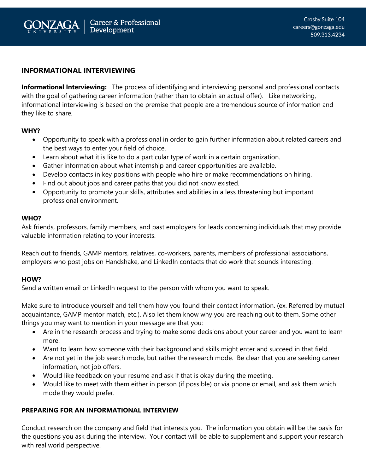

# **INFORMATIONAL INTERVIEWING**

**Informational Interviewing:** The process of identifying and interviewing personal and professional contacts with the goal of gathering career information (rather than to obtain an actual offer). Like networking, informational interviewing is based on the premise that people are a tremendous source of information and they like to share.

### **WHY?**

- Opportunity to speak with a professional in order to gain further information about related careers and the best ways to enter your field of choice.
- Learn about what it is like to do a particular type of work in a certain organization.
- Gather information about what internship and career opportunities are available.
- Develop contacts in key positions with people who hire or make recommendations on hiring.
- Find out about jobs and career paths that you did not know existed.
- Opportunity to promote your skills, attributes and abilities in a less threatening but important professional environment.

#### **WHO?**

Ask friends, professors, family members, and past employers for leads concerning individuals that may provide valuable information relating to your interests.

Reach out to friends, GAMP mentors, relatives, co-workers, parents, members of professional associations, employers who post jobs on Handshake, and LinkedIn contacts that do work that sounds interesting.

### **HOW?**

Send a written email or LinkedIn request to the person with whom you want to speak.

Make sure to introduce yourself and tell them how you found their contact information. (ex. Referred by mutual acquaintance, GAMP mentor match, etc.). Also let them know why you are reaching out to them. Some other things you may want to mention in your message are that you:

- Are in the research process and trying to make some decisions about your career and you want to learn more.
- Want to learn how someone with their background and skills might enter and succeed in that field.
- Are not yet in the job search mode, but rather the research mode. Be clear that you are seeking career information, not job offers.
- Would like feedback on your resume and ask if that is okay during the meeting.
- Would like to meet with them either in person (if possible) or via phone or email, and ask them which mode they would prefer.

## **PREPARING FOR AN INFORMATIONAL INTERVIEW**

Conduct research on the company and field that interests you. The information you obtain will be the basis for the questions you ask during the interview. Your contact will be able to supplement and support your research with real world perspective.